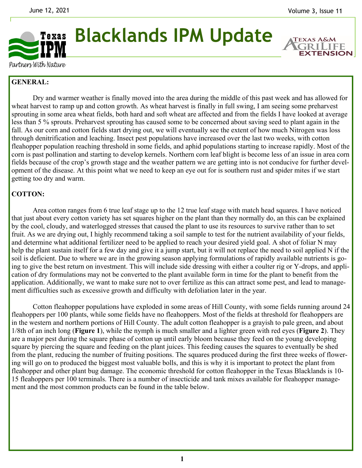

**Blacklands IPM Update** 

**EXTENSION** 

Partners With Nature

## **GENERAL:**

 Dry and warmer weather is finally moved into the area during the middle of this past week and has allowed for wheat harvest to ramp up and cotton growth. As wheat harvest is finally in full swing, I am seeing some preharvest sprouting in some area wheat fields, both hard and soft wheat are affected and from the fields I have looked at average less than 5 % sprouts. Preharvest sprouting has caused some to be concerned about saving seed to plant again in the fall. As our corn and cotton fields start drying out, we will eventually see the extent of how much Nitrogen was loss through denitrification and leaching. Insect pest populations have increased over the last two weeks, with cotton fleahopper population reaching threshold in some fields, and aphid populations starting to increase rapidly. Most of the corn is past pollination and starting to develop kernels. Northern corn leaf blight is become less of an issue in area corn fields because of the crop's growth stage and the weather pattern we are getting into is not conducive for further development of the disease. At this point what we need to keep an eye out for is southern rust and spider mites if we start getting too dry and warm.

## **COTTON:**

Area cotton ranges from 6 true leaf stage up to the 12 true leaf stage with match head squares. I have noticed that just about every cotton variety has set squares higher on the plant than they normally do, an this can be explained by the cool, cloudy, and waterlogged stresses that caused the plant to use its resources to survive rather than to set fruit. As we are drying out, I highly recommend taking a soil sample to test for the nutrient availability of your fields, and determine what additional fertilizer need to be applied to reach your desired yield goal. A shot of foliar N may help the plant sustain itself for a few day and give it a jump start, but it will not replace the need to soil applied N if the soil is deficient. Due to where we are in the growing season applying formulations of rapidly available nutrients is going to give the best return on investment. This will include side dressing with either a coulter rig or Y-drops, and application of dry formulations may not be converted to the plant available form in time for the plant to benefit from the application. Additionally, we want to make sure not to over fertilize as this can attract some pest, and lead to management difficulties such as excessive growth and difficulty with defoliation later in the year.

 Cotton fleahopper populations have exploded in some areas of Hill County, with some fields running around 24 fleahoppers per 100 plants, while some fields have no fleahoppers. Most of the fields at threshold for fleahoppers are in the western and northern portions of Hill County. The adult cotton fleahopper is a grayish to pale green, and about 1/8th of an inch long (**Figure 1**), while the nymph is much smaller and a lighter green with red eyes (**Figure 2**). They are a major pest during the square phase of cotton up until early bloom because they feed on the young developing square by piercing the square and feeding on the plant juices. This feeding causes the squares to eventually be shed from the plant, reducing the number of fruiting positions. The squares produced during the first three weeks of flowering will go on to produced the biggest most valuable bolls, and this is why it is important to protect the plant from fleahopper and other plant bug damage. The economic threshold for cotton fleahopper in the Texas Blacklands is 10- 15 fleahoppers per 100 terminals. There is a number of insecticide and tank mixes available for fleahopper management and the most common products can be found in the table below.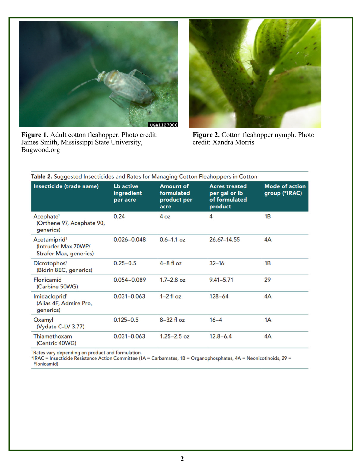

**Figure 1.** Adult cotton fleahopper. Photo credit: James Smith, Mississippi State University, Bugwood.org



**Figure 2.** Cotton fleahopper nymph. Photo credit: Xandra Morris

| Insecticide (trade name)                                                         | <b>Lb</b> active<br>ingredient<br>per acre | <b>Amount of</b><br>formulated<br>product per<br>acre | <b>Acres treated</b><br>per gal or lb<br>of formulated<br>product | <b>Mode of action</b><br>group (*IRAC) |
|----------------------------------------------------------------------------------|--------------------------------------------|-------------------------------------------------------|-------------------------------------------------------------------|----------------------------------------|
| Acephate <sup>1</sup><br>(Orthene 97, Acephate 90,<br>generics)                  | 0.24                                       | 4oz                                                   | 4                                                                 | 1 <sub>B</sub>                         |
| Acetamiprid <sup>1</sup><br>(Intruder Max 70WP/<br><b>Strafer Max, generics)</b> | $0.026 - 0.048$                            | $0.6 - 1.1$ oz                                        | 26.67-14.55                                                       | 4A                                     |
| Dicrotophos <sup>1</sup><br>(Bidrin 8EC, generics)                               | $0.25 - 0.5$                               | $4-8$ fl oz                                           | $32 - 16$                                                         | 1B                                     |
| Flonicamid<br>(Carbine 50WG)                                                     | $0.054 - 0.089$                            | $1.7 - 2.8$ oz                                        | $9.41 - 5.71$                                                     | 29                                     |
| Imidacloprid <sup>1</sup><br>(Alias 4F, Admire Pro,<br>generics)                 | $0.031 - 0.063$                            | $1-2$ fl oz                                           | $128 - 64$                                                        | 4A                                     |
| Oxamyl<br>(Vydate C-LV 3.77)                                                     | $0.125 - 0.5$                              | $8-32$ fl oz                                          | $16 - 4$                                                          | 1A                                     |
| Thiamethoxam<br>(Centric 40WG)                                                   | $0.031 - 0.063$                            | $1.25 - 2.5$ oz                                       | $12.8 - 6.4$                                                      | 4A                                     |
|                                                                                  |                                            |                                                       |                                                                   |                                        |

<sup>1</sup> Rates vary depending on product and formulation.<br>\*IRAC = Insecticide Resistance Action Committee (1A = Carbamates, 1B = Organophosphates, 4A = Neonicotinoids, 29 = Flonicamid)